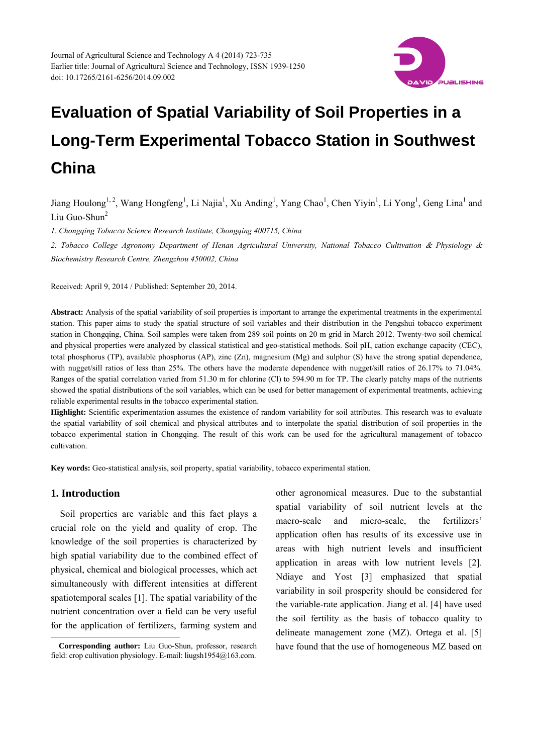

Jiang Houlong<sup>1, 2</sup>, Wang Hongfeng<sup>1</sup>, Li Najia<sup>1</sup>, Xu Anding<sup>1</sup>, Yang Chao<sup>1</sup>, Chen Yiyin<sup>1</sup>, Li Yong<sup>1</sup>, Geng Lina<sup>1</sup> and Liu Guo-Shun<sup>2</sup>

*1. Chongqing Tobac*c*o Science Research Institute, Chongqing 400715, China* 

2. Tobacco College Agronomy Department of Henan Agricultural University, National Tobacco Cultivation & Physiology & *Biochemistry Research Centre, Zhengzhou 450002, China* 

Received: April 9, 2014 / Published: September 20, 2014.

**Abstract:** Analysis of the spatial variability of soil properties is important to arrange the experimental treatments in the experimental station. This paper aims to study the spatial structure of soil variables and their distribution in the Pengshui tobacco experiment station in Chongqing, China. Soil samples were taken from 289 soil points on 20 m grid in March 2012. Twenty-two soil chemical and physical properties were analyzed by classical statistical and geo-statistical methods. Soil pH, cation exchange capacity (CEC), total phosphorus (TP), available phosphorus (AP), zinc (Zn), magnesium (Mg) and sulphur (S) have the strong spatial dependence, with nugget/sill ratios of less than 25%. The others have the moderate dependence with nugget/sill ratios of 26.17% to 71.04%. Ranges of the spatial correlation varied from 51.30 m for chlorine (Cl) to 594.90 m for TP. The clearly patchy maps of the nutrients showed the spatial distributions of the soil variables, which can be used for better management of experimental treatments, achieving reliable experimental results in the tobacco experimental station.

**Highlight:** Scientific experimentation assumes the existence of random variability for soil attributes. This research was to evaluate the spatial variability of soil chemical and physical attributes and to interpolate the spatial distribution of soil properties in the tobacco experimental station in Chongqing. The result of this work can be used for the agricultural management of tobacco cultivation.

**Key words:** Geo-statistical analysis, soil property, spatial variability, tobacco experimental station.

### **1. Introduction**

 $\overline{a}$ 

Soil properties are variable and this fact plays a crucial role on the yield and quality of crop. The knowledge of the soil properties is characterized by high spatial variability due to the combined effect of physical, chemical and biological processes, which act simultaneously with different intensities at different spatiotemporal scales [1]. The spatial variability of the nutrient concentration over a field can be very useful for the application of fertilizers, farming system and

other agronomical measures. Due to the substantial spatial variability of soil nutrient levels at the macro-scale and micro-scale, the fertilizers' application often has results of its excessive use in areas with high nutrient levels and insufficient application in areas with low nutrient levels [2]. Ndiaye and Yost [3] emphasized that spatial variability in soil prosperity should be considered for the variable-rate application. Jiang et al. [4] have used the soil fertility as the basis of tobacco quality to delineate management zone (MZ). Ortega et al. [5] have found that the use of homogeneous MZ based on

**Corresponding author:** Liu Guo-Shun, professor, research field: crop cultivation physiology. E-mail: liugsh1954@163.com.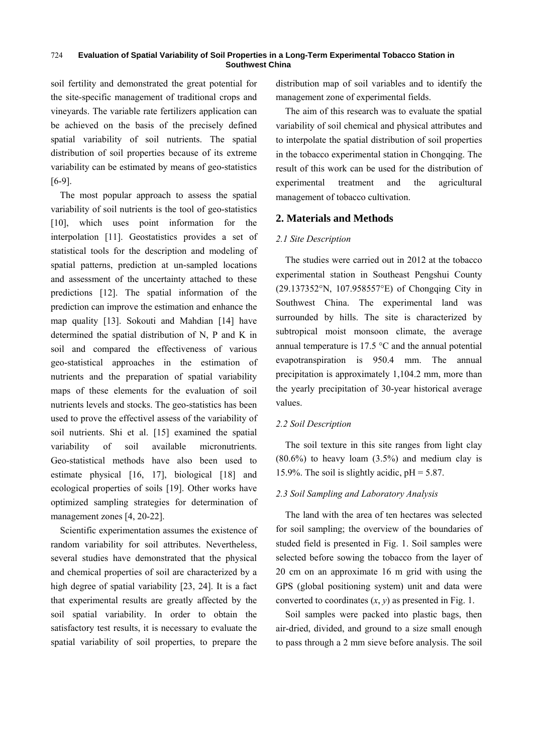soil fertility and demonstrated the great potential for the site-specific management of traditional crops and vineyards. The variable rate fertilizers application can be achieved on the basis of the precisely defined spatial variability of soil nutrients. The spatial distribution of soil properties because of its extreme variability can be estimated by means of geo-statistics [6-9].

The most popular approach to assess the spatial variability of soil nutrients is the tool of geo-statistics [10], which uses point information for the interpolation [11]. Geostatistics provides a set of statistical tools for the description and modeling of spatial patterns, prediction at un-sampled locations and assessment of the uncertainty attached to these predictions [12]. The spatial information of the prediction can improve the estimation and enhance the map quality [13]. Sokouti and Mahdian [14] have determined the spatial distribution of N, P and K in soil and compared the effectiveness of various geo-statistical approaches in the estimation of nutrients and the preparation of spatial variability maps of these elements for the evaluation of soil nutrients levels and stocks. The geo-statistics has been used to prove the effectivel assess of the variability of soil nutrients. Shi et al. [15] examined the spatial variability of soil available micronutrients. Geo-statistical methods have also been used to estimate physical [16, 17], biological [18] and ecological properties of soils [19]. Other works have optimized sampling strategies for determination of management zones [4, 20-22].

Scientific experimentation assumes the existence of random variability for soil attributes. Nevertheless, several studies have demonstrated that the physical and chemical properties of soil are characterized by a high degree of spatial variability [23, 24]. It is a fact that experimental results are greatly affected by the soil spatial variability. In order to obtain the satisfactory test results, it is necessary to evaluate the spatial variability of soil properties, to prepare the

distribution map of soil variables and to identify the management zone of experimental fields.

The aim of this research was to evaluate the spatial variability of soil chemical and physical attributes and to interpolate the spatial distribution of soil properties in the tobacco experimental station in Chongqing. The result of this work can be used for the distribution of experimental treatment and the agricultural management of tobacco cultivation.

### **2. Materials and Methods**

#### *2.1 Site Description*

The studies were carried out in 2012 at the tobacco experimental station in Southeast Pengshui County (29.137352°N, 107.958557°E) of Chongqing City in Southwest China. The experimental land was surrounded by hills. The site is characterized by subtropical moist monsoon climate, the average annual temperature is 17.5 °C and the annual potential evapotranspiration is 950.4 mm. The annual precipitation is approximately 1,104.2 mm, more than the yearly precipitation of 30-year historical average values.

#### *2.2 Soil Description*

The soil texture in this site ranges from light clay  $(80.6\%)$  to heavy loam  $(3.5\%)$  and medium clay is 15.9%. The soil is slightly acidic,  $pH = 5.87$ .

### *2.3 Soil Sampling and Laboratory Analysis*

The land with the area of ten hectares was selected for soil sampling; the overview of the boundaries of studed field is presented in Fig. 1. Soil samples were selected before sowing the tobacco from the layer of 20 cm on an approximate 16 m grid with using the GPS (global positioning system) unit and data were converted to coordinates  $(x, y)$  as presented in Fig. 1.

Soil samples were packed into plastic bags, then air-dried, divided, and ground to a size small enough to pass through a 2 mm sieve before analysis. The soil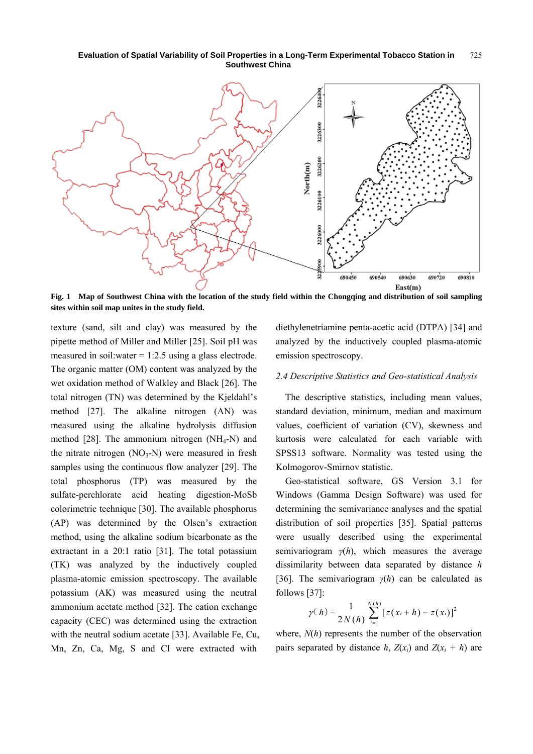

**Fig. 1 Map of Southwest China with the location of the study field within the Chongqing and distribution of soil sampling sites within soil map unites in the study field.** 

texture (sand, silt and clay) was measured by the pipette method of Miller and Miller [25]. Soil pH was measured in soil:water  $= 1:2.5$  using a glass electrode. The organic matter (OM) content was analyzed by the wet oxidation method of Walkley and Black [26]. The total nitrogen (TN) was determined by the Kjeldahl's method [27]. The alkaline nitrogen (AN) was measured using the alkaline hydrolysis diffusion method  $[28]$ . The ammonium nitrogen (NH<sub>4</sub>-N) and the nitrate nitrogen  $(NO<sub>3</sub>-N)$  were measured in fresh samples using the continuous flow analyzer [29]. The total phosphorus (TP) was measured by the sulfate-perchlorate acid heating digestion-MoSb colorimetric technique [30]. The available phosphorus (AP) was determined by the Olsen's extraction method, using the alkaline sodium bicarbonate as the extractant in a 20:1 ratio [31]. The total potassium (TK) was analyzed by the inductively coupled plasma-atomic emission spectroscopy. The available potassium (AK) was measured using the neutral ammonium acetate method [32]. The cation exchange capacity (CEC) was determined using the extraction with the neutral sodium acetate [33]. Available Fe, Cu, Mn, Zn, Ca, Mg, S and Cl were extracted with

diethylenetriamine penta-acetic acid (DTPA) [34] and analyzed by the inductively coupled plasma-atomic emission spectroscopy.

#### *2.4 Descriptive Statistics and Geo-statistical Analysis*

The descriptive statistics, including mean values, standard deviation, minimum, median and maximum values, coefficient of variation (CV), skewness and kurtosis were calculated for each variable with SPSS13 software. Normality was tested using the Kolmogorov-Smirnov statistic.

Geo-statistical software, GS Version 3.1 for Windows (Gamma Design Software) was used for determining the semivariance analyses and the spatial distribution of soil properties [35]. Spatial patterns were usually described using the experimental semivariogram  $\gamma(h)$ , which measures the average dissimilarity between data separated by distance *h*  [36]. The semivariogram *γ*(*h*) can be calculated as follows [37]:

$$
\gamma(h) = \frac{1}{2N(h)} \sum_{i=1}^{N(h)} [z(x_i + h) - z(x_i)]^2
$$

where, *N*(*h*) represents the number of the observation pairs separated by distance *h*,  $Z(x_i)$  and  $Z(x_i + h)$  are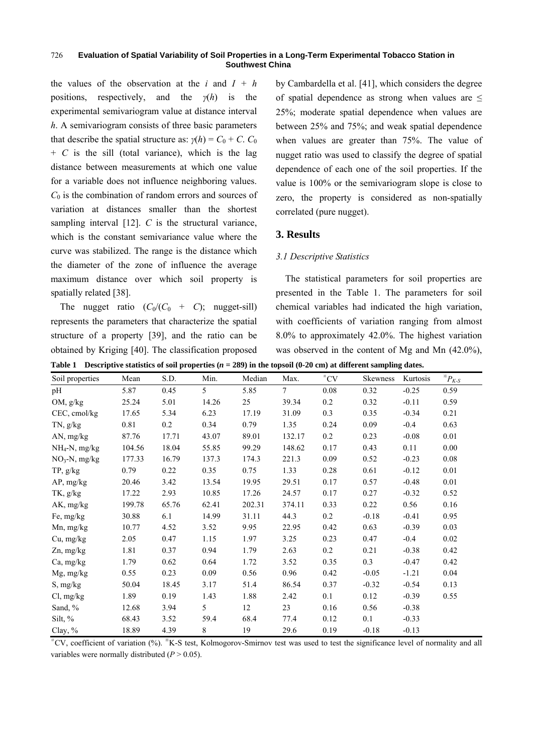the values of the observation at the *i* and  $I + h$ positions, respectively, and the *γ*(*h*) is the experimental semivariogram value at distance interval *h*. A semivariogram consists of three basic parameters that describe the spatial structure as:  $\gamma(h) = C_0 + C$ .  $C_0$ + *C* is the sill (total variance), which is the lag distance between measurements at which one value for a variable does not influence neighboring values. *C*0 is the combination of random errors and sources of variation at distances smaller than the shortest sampling interval [12]. *C* is the structural variance, which is the constant semivariance value where the curve was stabilized. The range is the distance which the diameter of the zone of influence the average maximum distance over which soil property is spatially related [38].

The nugget ratio  $(C_0/(C_0 + C))$ ; nugget-sill) represents the parameters that characterize the spatial structure of a property [39], and the ratio can be obtained by Kriging [40]. The classification proposed by Cambardella et al. [41], which considers the degree of spatial dependence as strong when values are  $\leq$ 25%; moderate spatial dependence when values are between 25% and 75%; and weak spatial dependence when values are greater than 75%. The value of nugget ratio was used to classify the degree of spatial dependence of each one of the soil properties. If the value is 100% or the semivariogram slope is close to zero, the property is considered as non-spatially correlated (pure nugget).

## **3. Results**

## *3.1 Descriptive Statistics*

The statistical parameters for soil properties are presented in the Table 1. The parameters for soil chemical variables had indicated the high variation, with coefficients of variation ranging from almost 8.0% to approximately 42.0%. The highest variation was observed in the content of Mg and Mn (42.0%),

| Table 1 Descriptive statistics of soil properties $(n = 289)$ in the topsoil (0-20 cm) at different sampling dates. |
|---------------------------------------------------------------------------------------------------------------------|
|---------------------------------------------------------------------------------------------------------------------|

| Soil properties  | Mean   | S.D.  | Min.           | Median | Max.           | $^{\scriptscriptstyle\rm \#} \text{CV}$ | Skewness | Kurtosis | ${}^*P_{K-S}$ |
|------------------|--------|-------|----------------|--------|----------------|-----------------------------------------|----------|----------|---------------|
| pH               | 5.87   | 0.45  | $\mathfrak{H}$ | 5.85   | $\overline{7}$ | 0.08                                    | 0.32     | $-0.25$  | 0.59          |
| OM, g/kg         | 25.24  | 5.01  | 14.26          | 25     | 39.34          | 0.2                                     | 0.32     | $-0.11$  | 0.59          |
| CEC, cmol/kg     | 17.65  | 5.34  | 6.23           | 17.19  | 31.09          | 0.3                                     | 0.35     | $-0.34$  | 0.21          |
| $TN$ , $g/kg$    | 0.81   | 0.2   | 0.34           | 0.79   | 1.35           | 0.24                                    | 0.09     | $-0.4$   | 0.63          |
| AN, mg/kg        | 87.76  | 17.71 | 43.07          | 89.01  | 132.17         | 0.2                                     | 0.23     | $-0.08$  | 0.01          |
| $NH_4-N$ , mg/kg | 104.56 | 18.04 | 55.85          | 99.29  | 148.62         | 0.17                                    | 0.43     | 0.11     | 0.00          |
| $NO3$ -N, mg/kg  | 177.33 | 16.79 | 137.3          | 174.3  | 221.3          | 0.09                                    | 0.52     | $-0.23$  | $0.08\,$      |
| TP, g/kg         | 0.79   | 0.22  | 0.35           | 0.75   | 1.33           | 0.28                                    | 0.61     | $-0.12$  | 0.01          |
| AP, mg/kg        | 20.46  | 3.42  | 13.54          | 19.95  | 29.51          | 0.17                                    | 0.57     | $-0.48$  | 0.01          |
| TK, g/kg         | 17.22  | 2.93  | 10.85          | 17.26  | 24.57          | 0.17                                    | 0.27     | $-0.32$  | 0.52          |
| AK, mg/kg        | 199.78 | 65.76 | 62.41          | 202.31 | 374.11         | 0.33                                    | 0.22     | 0.56     | 0.16          |
| Fe, mg/kg        | 30.88  | 6.1   | 14.99          | 31.11  | 44.3           | $0.2\,$                                 | $-0.18$  | $-0.41$  | 0.95          |
| Mn, mg/kg        | 10.77  | 4.52  | 3.52           | 9.95   | 22.95          | 0.42                                    | 0.63     | $-0.39$  | 0.03          |
| Cu, mg/kg        | 2.05   | 0.47  | 1.15           | 1.97   | 3.25           | 0.23                                    | 0.47     | $-0.4$   | $0.02\,$      |
| Zn, mg/kg        | 1.81   | 0.37  | 0.94           | 1.79   | 2.63           | $0.2\,$                                 | 0.21     | $-0.38$  | 0.42          |
| Ca, mg/kg        | 1.79   | 0.62  | 0.64           | 1.72   | 3.52           | 0.35                                    | 0.3      | $-0.47$  | 0.42          |
| Mg, mg/kg        | 0.55   | 0.23  | 0.09           | 0.56   | 0.96           | 0.42                                    | $-0.05$  | $-1.21$  | 0.04          |
| S, mg/kg         | 50.04  | 18.45 | 3.17           | 51.4   | 86.54          | 0.37                                    | $-0.32$  | $-0.54$  | 0.13          |
| Cl, mg/kg        | 1.89   | 0.19  | 1.43           | 1.88   | 2.42           | 0.1                                     | 0.12     | $-0.39$  | 0.55          |
| Sand, %          | 12.68  | 3.94  | 5 <sup>5</sup> | 12     | 23             | 0.16                                    | 0.56     | $-0.38$  |               |
| Silt, $%$        | 68.43  | 3.52  | 59.4           | 68.4   | 77.4           | 0.12                                    | 0.1      | $-0.33$  |               |
| Clay, %          | 18.89  | 4.39  | 8              | 19     | 29.6           | 0.19                                    | $-0.18$  | $-0.13$  |               |

# CV, coefficient of variation (%). ※ K-S test, Kolmogorov-Smirnov test was used to test the significance level of normality and all variables were normally distributed  $(P > 0.05)$ .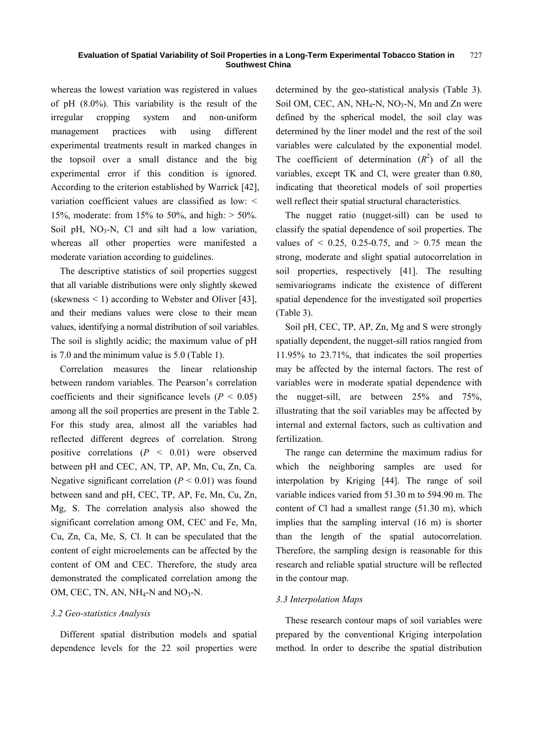whereas the lowest variation was registered in values of pH (8.0%). This variability is the result of the irregular cropping system and non-uniform management practices with using different experimental treatments result in marked changes in the topsoil over a small distance and the big experimental error if this condition is ignored. According to the criterion established by Warrick [42], variation coefficient values are classified as low: < 15%, moderate: from 15% to 50%, and high:  $>$  50%. Soil pH,  $NO<sub>3</sub>-N$ , Cl and silt had a low variation, whereas all other properties were manifested a moderate variation according to guidelines.

The descriptive statistics of soil properties suggest that all variable distributions were only slightly skewed (skewness  $\leq 1$ ) according to Webster and Oliver [43], and their medians values were close to their mean values, identifying a normal distribution of soil variables. The soil is slightly acidic; the maximum value of pH is 7.0 and the minimum value is 5.0 (Table 1).

Correlation measures the linear relationship between random variables. The Pearson's correlation coefficients and their significance levels ( $P < 0.05$ ) among all the soil properties are present in the Table 2. For this study area, almost all the variables had reflected different degrees of correlation. Strong positive correlations (*P* < 0.01) were observed between pH and CEC, AN, TP, AP, Mn, Cu, Zn, Ca. Negative significant correlation  $(P < 0.01)$  was found between sand and pH, CEC, TP, AP, Fe, Mn, Cu, Zn, Mg, S. The correlation analysis also showed the significant correlation among OM, CEC and Fe, Mn, Cu, Zn, Ca, Me, S, Cl. It can be speculated that the content of eight microelements can be affected by the content of OM and CEC. Therefore, the study area demonstrated the complicated correlation among the OM, CEC, TN, AN,  $NH_4-N$  and  $NO_3-N$ .

### *3.2 Geo-statistics Analysis*

Different spatial distribution models and spatial dependence levels for the 22 soil properties were determined by the geo-statistical analysis (Table 3). Soil OM, CEC, AN,  $NH_4-N$ ,  $NO_3-N$ , Mn and Zn were defined by the spherical model, the soil clay was determined by the liner model and the rest of the soil variables were calculated by the exponential model. The coefficient of determination  $(R^2)$  of all the variables, except TK and Cl, were greater than 0.80, indicating that theoretical models of soil properties well reflect their spatial structural characteristics.

The nugget ratio (nugget-sill) can be used to classify the spatial dependence of soil properties. The values of  $\leq 0.25$ , 0.25-0.75, and  $\geq 0.75$  mean the strong, moderate and slight spatial autocorrelation in soil properties, respectively [41]. The resulting semivariograms indicate the existence of different spatial dependence for the investigated soil properties (Table 3).

Soil pH, CEC, TP, AP, Zn, Mg and S were strongly spatially dependent, the nugget-sill ratios rangied from 11.95% to 23.71%, that indicates the soil properties may be affected by the internal factors. The rest of variables were in moderate spatial dependence with the nugget-sill, are between 25% and 75%, illustrating that the soil variables may be affected by internal and external factors, such as cultivation and fertilization.

The range can determine the maximum radius for which the neighboring samples are used for interpolation by Kriging [44]. The range of soil variable indices varied from 51.30 m to 594.90 m. The content of Cl had a smallest range (51.30 m), which implies that the sampling interval (16 m) is shorter than the length of the spatial autocorrelation. Therefore, the sampling design is reasonable for this research and reliable spatial structure will be reflected in the contour map.

### *3.3 Interpolation Maps*

These research contour maps of soil variables were prepared by the conventional Kriging interpolation method. In order to describe the spatial distribution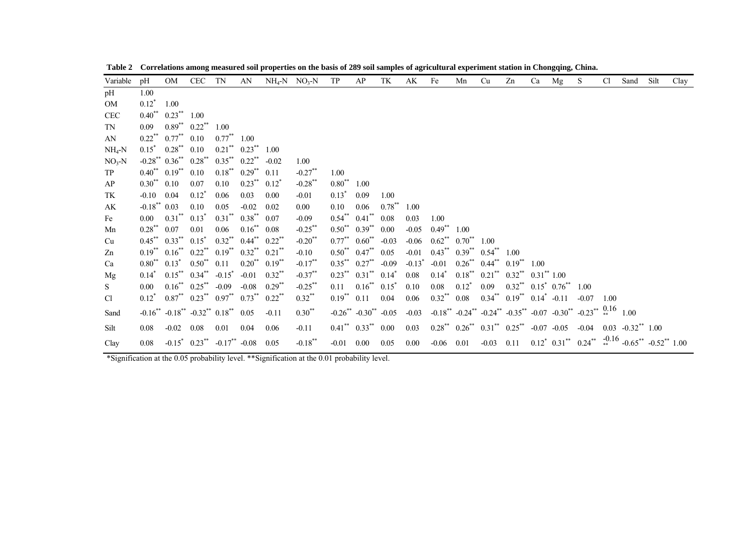| Variable                                                                                     | pH                         | OM                                                                      | CEC TN                        |                                                   | AN                             |                              | $NH_4\text{-}N$ $NO_3\text{-}N$ TP |              | AP                                               | TK        | AK                   | Fe                                     | Mn | Cu                                                          | Zn | Ca | Mg | S                                                                                                                                                       | C <sub>1</sub> | Sand | Silt | Clay |
|----------------------------------------------------------------------------------------------|----------------------------|-------------------------------------------------------------------------|-------------------------------|---------------------------------------------------|--------------------------------|------------------------------|------------------------------------|--------------|--------------------------------------------------|-----------|----------------------|----------------------------------------|----|-------------------------------------------------------------|----|----|----|---------------------------------------------------------------------------------------------------------------------------------------------------------|----------------|------|------|------|
| pH                                                                                           | 1.00                       |                                                                         |                               |                                                   |                                |                              |                                    |              |                                                  |           |                      |                                        |    |                                                             |    |    |    |                                                                                                                                                         |                |      |      |      |
| OM                                                                                           | $0.12^*$                   | 1.00                                                                    |                               |                                                   |                                |                              |                                    |              |                                                  |           |                      |                                        |    |                                                             |    |    |    |                                                                                                                                                         |                |      |      |      |
| <b>CEC</b>                                                                                   |                            | $0.40^{**}$ $0.23^{**}$ 1.00                                            |                               |                                                   |                                |                              |                                    |              |                                                  |           |                      |                                        |    |                                                             |    |    |    |                                                                                                                                                         |                |      |      |      |
| TN                                                                                           | 0.09                       |                                                                         | $0.89^{**}$ $0.22^{**}$ 1.00  |                                                   |                                |                              |                                    |              |                                                  |           |                      |                                        |    |                                                             |    |    |    |                                                                                                                                                         |                |      |      |      |
| AN                                                                                           |                            | $0.22^{**}$ $0.77^{**}$ $0.10$                                          |                               | $0.77^{**}$ 1.00                                  |                                |                              |                                    |              |                                                  |           |                      |                                        |    |                                                             |    |    |    |                                                                                                                                                         |                |      |      |      |
| $NH_4-N$                                                                                     |                            | $0.15^*$ $0.28^{**}$ $0.10$                                             |                               |                                                   | $0.21$ ** $0.23$ ** 1.00       |                              |                                    |              |                                                  |           |                      |                                        |    |                                                             |    |    |    |                                                                                                                                                         |                |      |      |      |
| $NO3-N$                                                                                      |                            | $-0.28$ <sup>**</sup> $0.36$ <sup>**</sup> $0.28$ <sup>**</sup>         |                               | $0.35^{**}$ $0.22^{**}$                           |                                | $-0.02$                      | 1.00                               |              |                                                  |           |                      |                                        |    |                                                             |    |    |    |                                                                                                                                                         |                |      |      |      |
| TP                                                                                           |                            | $0.40^{**}$ $0.19^{**}$ $0.10$                                          |                               |                                                   | $0.18^{**}$ $0.29^{**}$ $0.11$ |                              | $-0.27$ **                         | 1.00         |                                                  |           |                      |                                        |    |                                                             |    |    |    |                                                                                                                                                         |                |      |      |      |
| AP                                                                                           | $0.30^{**}$ 0.10           |                                                                         | 0.07                          | 0.10                                              | $0.23^{**}$ $0.12^*$           |                              | $-0.28$ **                         | $0.80^{**}$  | 1.00                                             |           |                      |                                        |    |                                                             |    |    |    |                                                                                                                                                         |                |      |      |      |
| TK                                                                                           | $-0.10$ 0.04               |                                                                         | $0.12^*$                      | 0.06                                              | 0.03                           | 0.00                         | $-0.01$                            | $0.13^*$     | 0.09                                             | 1.00      |                      |                                        |    |                                                             |    |    |    |                                                                                                                                                         |                |      |      |      |
| AK                                                                                           | $-0.18$ <sup>**</sup> 0.03 |                                                                         | 0.10                          | 0.05                                              | $-0.02$                        | 0.02                         | 0.00                               | 0.10         | 0.06                                             | $0.78***$ | 1.00                 |                                        |    |                                                             |    |    |    |                                                                                                                                                         |                |      |      |      |
| Fe                                                                                           | 0.00                       | $0.31^{**}$ $0.13^*$                                                    |                               |                                                   | $0.31$ ** $0.38$ ** $0.07$     |                              | $-0.09$                            |              | $0.54^{**}$ $0.41^{**}$ $0.08$                   |           | 0.03                 | 1.00                                   |    |                                                             |    |    |    |                                                                                                                                                         |                |      |      |      |
| Mn                                                                                           | $0.28^{**}$ 0.07           |                                                                         | 0.01                          | 0.06                                              | $0.16^{**}$ 0.08               |                              | $-0.25$ **                         |              | $0.50^{**}$ $0.39^{**}$                          | 0.00      |                      | $-0.05$ $0.49^{**}$ 1.00               |    |                                                             |    |    |    |                                                                                                                                                         |                |      |      |      |
| Cu                                                                                           |                            | $0.45^{**}$ $0.33^{**}$ $0.15^{*}$                                      |                               |                                                   | $0.32$ ** $0.44$ ** $0.22$ **  |                              | $-0.20$ <sup>**</sup>              |              | $0.77^{**}$ 0.60 <sup>**</sup>                   | $-0.03$   |                      | $-0.06$ $0.62^{**}$ $0.70^{**}$ $1.00$ |    |                                                             |    |    |    |                                                                                                                                                         |                |      |      |      |
| Zn                                                                                           |                            | $0.19^{**}$ $0.16^{**}$ $0.22^{**}$ $0.19^{**}$ $0.32^{**}$ $0.21^{**}$ |                               |                                                   |                                |                              | $-0.10$                            |              | $0.50^{**}$ $0.47^{**}$ $0.05$                   |           |                      |                                        |    | $-0.01$ $0.43^{**}$ $0.39^{**}$ $0.54^{**}$ $1.00$          |    |    |    |                                                                                                                                                         |                |      |      |      |
| Ca                                                                                           |                            | $0.80^{**}$ $0.13^*$ $0.50^{**}$ $0.11$                                 |                               |                                                   | $0.20^{**}$ $0.19^{**}$        |                              | $-0.17***$                         |              | $0.35^{**}$ $0.27^{**}$ -0.09                    |           | $-0.13$ <sup>*</sup> | $-0.01$                                |    | $0.26^{**}$ $0.44^{**}$ $0.19^{**}$ $1.00$                  |    |    |    |                                                                                                                                                         |                |      |      |      |
| Mg                                                                                           |                            | $0.14^*$ $0.15^{**}$ $0.34^{**}$ $-0.15^*$                              |                               |                                                   |                                | $-0.01$ $0.32$ <sup>**</sup> | $-0.37***$                         |              | $0.23^{**}$ $0.31^{**}$ $0.14^*$                 |           | 0.08                 | $0.14^*$                               |    | $0.18^{**}$ $0.21^{**}$ $0.32^{**}$ $0.31^{**}$ $1.00$      |    |    |    |                                                                                                                                                         |                |      |      |      |
| S                                                                                            | 0.00                       |                                                                         | $0.16^{**}$ $0.25^{**}$ -0.09 |                                                   | $-0.08$                        | $0.29***$                    | $-0.25$ **                         |              | $0.11$ $0.16^{**}$ $0.15^{*}$                    |           | 0.10                 | 0.08                                   |    | $0.12^*$ $0.09$ $0.32^{**}$ $0.15^*$ $0.76^{**}$ $1.00$     |    |    |    |                                                                                                                                                         |                |      |      |      |
| Cl                                                                                           |                            | $0.12^*$ $0.87^{**}$ $0.23^{**}$ $0.97^{**}$ $0.73^{**}$ $0.22^{**}$    |                               |                                                   |                                |                              | $0.32$ **                          |              | $0.19^{**}$ 0.11 0.04                            |           | 0.06                 |                                        |    | $0.32^{**}$ $0.08$ $0.34^{**}$ $0.19^{**}$ $0.14^{*}$ -0.11 |    |    |    | $-0.07$ 1.00                                                                                                                                            |                |      |      |      |
| Sand                                                                                         |                            | $-0.16^{**}$ $-0.18^{**}$ $-0.32^{**}$ $0.18^{**}$ $0.05$               |                               |                                                   |                                | $-0.11$                      | $0.30^{**}$                        |              |                                                  |           |                      |                                        |    |                                                             |    |    |    | $-0.26^{**}$ $-0.30^{**}$ $-0.05$ $-0.03$ $-0.18^{**}$ $-0.24^{**}$ $-0.24^{**}$ $-0.35^{**}$ $-0.07$ $-0.30^{**}$ $-0.23^{**}$ $\frac{0.16}{*}$ $1.00$ |                |      |      |      |
| Silt                                                                                         | 0.08                       | $-0.02$ 0.08                                                            |                               | 0.01                                              | 0.04                           | 0.06                         | $-0.11$                            |              | $0.41$ <sup>**</sup> $0.33$ <sup>**</sup> $0.00$ |           | 0.03                 |                                        |    |                                                             |    |    |    | $0.28^{**}$ $0.26^{**}$ $0.31^{**}$ $0.25^{**}$ -0.07 -0.05 -0.04 0.03 -0.32** 1.00                                                                     |                |      |      |      |
| Clay                                                                                         | 0.08                       |                                                                         |                               | $-0.15^*$ $0.23^{**}$ $-0.17^{**}$ $-0.08$ $0.05$ |                                |                              | $-0.18$ **                         | $-0.01$ 0.00 |                                                  | 0.05      | $0.00\,$             |                                        |    |                                                             |    |    |    | $-0.06$ 0.01 $-0.03$ 0.11  0.12 <sup>*</sup> 0.31 <sup>**</sup> 0.24 <sup>**</sup> $-0.16$ $-0.65$ <sup>**</sup> $-0.52$ <sup>**</sup> 1.00             |                |      |      |      |
| *Signification at the 0.05 probability level. **Signification at the 0.01 probability level. |                            |                                                                         |                               |                                                   |                                |                              |                                    |              |                                                  |           |                      |                                        |    |                                                             |    |    |    |                                                                                                                                                         |                |      |      |      |

**Table 2 Correlations among measured soil properties on the basis of 289 soil samples of agricultural experiment station in Chongqing, China.**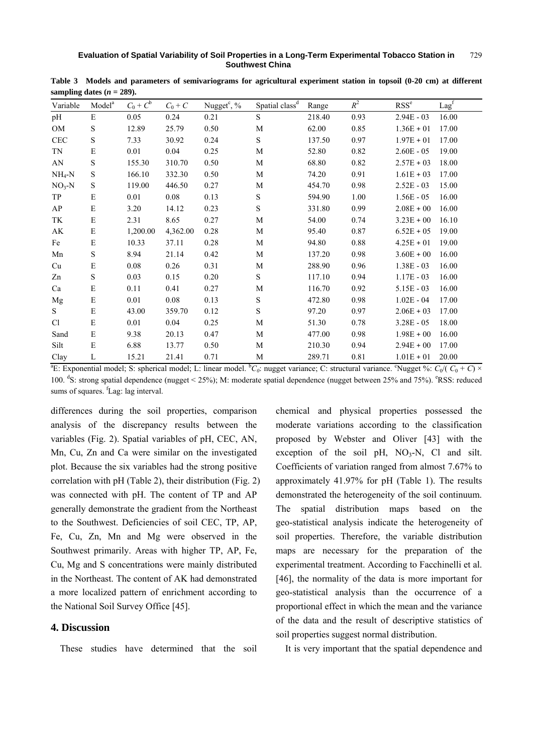| Variable               | Model <sup>a</sup> | $C_0 + C^b$ | $C_0+C$  | Nugget <sup>c</sup> , % | Spatial class <sup>d</sup> | Range  | $R^2$ | RSS <sup>e</sup> | Lag <sup>f</sup> |
|------------------------|--------------------|-------------|----------|-------------------------|----------------------------|--------|-------|------------------|------------------|
| pH                     | E                  | 0.05        | 0.24     | 0.21                    | S                          | 218.40 | 0.93  | $2.94E - 03$     | 16.00            |
| <b>OM</b>              | S                  | 12.89       | 25.79    | 0.50                    | $\mathbf M$                | 62.00  | 0.85  | $1.36E + 01$     | 17.00            |
| $\mbox{CEC}$           | $\mathbf S$        | 7.33        | 30.92    | 0.24                    | $\mathbf S$                | 137.50 | 0.97  | $1.97E + 01$     | 17.00            |
| TN                     | E                  | 0.01        | 0.04     | 0.25                    | M                          | 52.80  | 0.82  | $2.60E - 05$     | 19.00            |
| $\mathbf{A}\mathbf{N}$ | S                  | 155.30      | 310.70   | 0.50                    | M                          | 68.80  | 0.82  | $2.57E + 03$     | 18.00            |
| $NH_4-N$               | S                  | 166.10      | 332.30   | 0.50                    | M                          | 74.20  | 0.91  | $1.61E + 03$     | 17.00            |
| $NO3-N$                | S                  | 119.00      | 446.50   | 0.27                    | M                          | 454.70 | 0.98  | $2.52E - 03$     | 15.00            |
| TP                     | E                  | 0.01        | 0.08     | 0.13                    | $\mathbf S$                | 594.90 | 1.00  | $1.56E - 05$     | 16.00            |
| AP                     | ${\bf E}$          | 3.20        | 14.12    | 0.23                    | $\mathbf S$                | 331.80 | 0.99  | $2.08E + 00$     | 16.00            |
| TK                     | E                  | 2.31        | 8.65     | 0.27                    | M                          | 54.00  | 0.74  | $3.23E + 00$     | 16.10            |
| AK                     | $\mathbf E$        | 1,200.00    | 4,362.00 | 0.28                    | M                          | 95.40  | 0.87  | $6.52E + 05$     | 19.00            |
| Fe                     | ${\bf E}$          | 10.33       | 37.11    | 0.28                    | M                          | 94.80  | 0.88  | $4.25E + 01$     | 19.00            |
| Mn                     | S                  | 8.94        | 21.14    | 0.42                    | M                          | 137.20 | 0.98  | $3.60E + 00$     | 16.00            |
| Cu                     | ${\bf E}$          | $0.08\,$    | 0.26     | 0.31                    | M                          | 288.90 | 0.96  | $1.38E - 03$     | 16.00            |
| Zn                     | S                  | 0.03        | 0.15     | 0.20                    | S                          | 117.10 | 0.94  | $1.17E - 03$     | 16.00            |
| Ca                     | E                  | 0.11        | 0.41     | 0.27                    | M                          | 116.70 | 0.92  | $5.15E - 03$     | 16.00            |
| Mg                     | E                  | 0.01        | 0.08     | 0.13                    | $\mathbf S$                | 472.80 | 0.98  | $1.02E - 04$     | 17.00            |
| S                      | E                  | 43.00       | 359.70   | 0.12                    | S                          | 97.20  | 0.97  | $2.06E + 03$     | 17.00            |
| Cl                     | ${\bf E}$          | 0.01        | 0.04     | 0.25                    | M                          | 51.30  | 0.78  | $3.28E - 05$     | 18.00            |
| Sand                   | ${\bf E}$          | 9.38        | 20.13    | 0.47                    | M                          | 477.00 | 0.98  | $1.98E + 00$     | 16.00            |
| Silt                   | ${\bf E}$          | 6.88        | 13.77    | 0.50                    | М                          | 210.30 | 0.94  | $2.94E + 00$     | 17.00            |
| Clay                   | L                  | 15.21       | 21.41    | 0.71                    | М                          | 289.71 | 0.81  | $1.01E + 01$     | 20.00            |

**Table 3 Models and parameters of semivariograms for agricultural experiment station in topsoil (0-20 cm) at different**  sampling dates  $(n = 289)$ .

<sup>a</sup>E: Exponential model; S: spherical model; L: linear model.  ${}^bC_0$ : nugget variance; C: structural variance. <sup>c</sup>Nugget %:  $C_0$ /( $C_0 + C$ ) × 100. <sup>d</sup>S: strong spatial dependence (nugget < 25%); M: moderate spatial dependence (nugget between 25% and 75%). <sup>e</sup>RSS: reduced sums of squares. <sup>f</sup>Lag: lag interval.

differences during the soil properties, comparison analysis of the discrepancy results between the variables (Fig. 2). Spatial variables of pH, CEC, AN, Mn, Cu, Zn and Ca were similar on the investigated plot. Because the six variables had the strong positive correlation with pH (Table 2), their distribution (Fig. 2) was connected with pH. The content of TP and AP generally demonstrate the gradient from the Northeast to the Southwest. Deficiencies of soil CEC, TP, AP, Fe, Cu, Zn, Mn and Mg were observed in the Southwest primarily. Areas with higher TP, AP, Fe, Cu, Mg and S concentrations were mainly distributed in the Northeast. The content of AK had demonstrated a more localized pattern of enrichment according to the National Soil Survey Office [45].

### **4. Discussion**

These studies have determined that the soil

chemical and physical properties possessed the moderate variations according to the classification proposed by Webster and Oliver [43] with the exception of the soil pH,  $NO<sub>3</sub>-N$ , Cl and silt. Coefficients of variation ranged from almost 7.67% to approximately 41.97% for pH (Table 1). The results demonstrated the heterogeneity of the soil continuum. The spatial distribution maps based on the geo-statistical analysis indicate the heterogeneity of soil properties. Therefore, the variable distribution maps are necessary for the preparation of the experimental treatment. According to Facchinelli et al. [46], the normality of the data is more important for geo-statistical analysis than the occurrence of a proportional effect in which the mean and the variance of the data and the result of descriptive statistics of soil properties suggest normal distribution.

It is very important that the spatial dependence and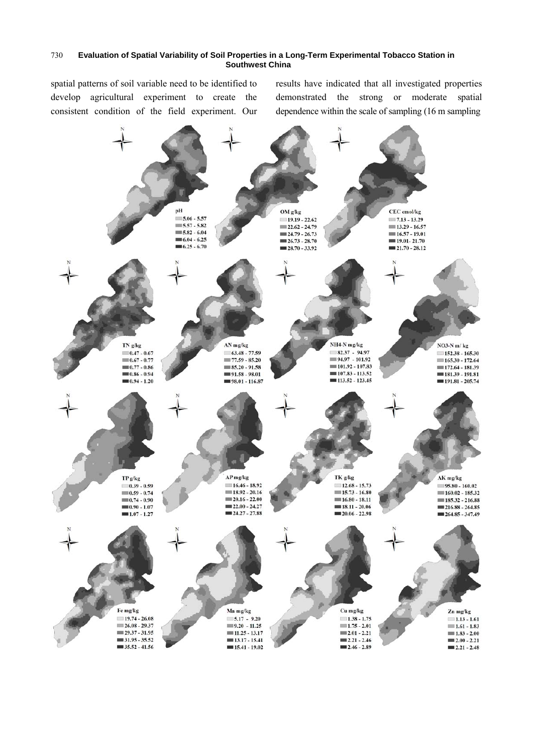spatial patterns of soil variable need to be identified to develop agricultural experiment to create the consistent condition of the field experiment. Our results have indicated that all investigated properties demonstrated the strong or moderate spatial dependence within the scale of sampling (16 m sampling

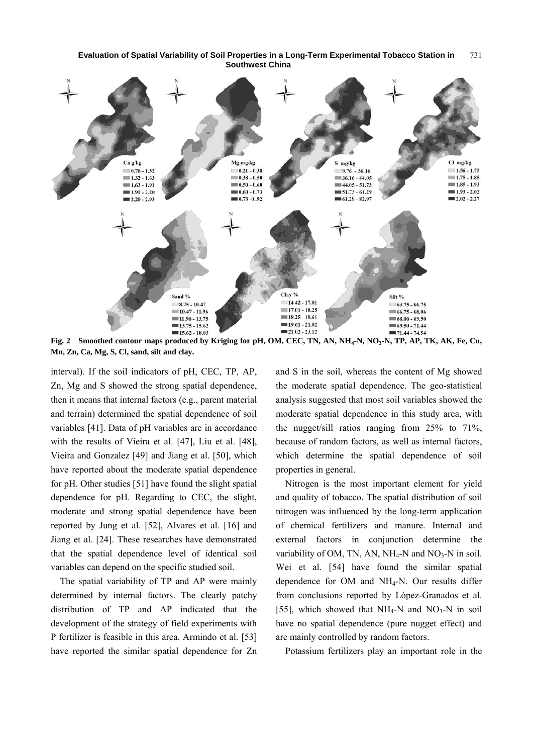

Fig. 2 Smoothed contour maps produced by Kriging for pH, OM, CEC, TN, AN, NH<sub>4</sub>-N, NO<sub>3</sub>-N, TP, AP, TK, AK, Fe, Cu, **Mn, Zn, Ca, Mg, S, Cl, sand, silt and clay.** 

interval). If the soil indicators of pH, CEC, TP, AP, Zn, Mg and S showed the strong spatial dependence, then it means that internal factors (e.g., parent material and terrain) determined the spatial dependence of soil variables [41]. Data of pH variables are in accordance with the results of Vieira et al. [47], Liu et al. [48], Vieira and Gonzalez [49] and Jiang et al. [50], which have reported about the moderate spatial dependence for pH. Other studies [51] have found the slight spatial dependence for pH. Regarding to CEC, the slight, moderate and strong spatial dependence have been reported by Jung et al. [52], Alvares et al. [16] and Jiang et al. [24]. These researches have demonstrated that the spatial dependence level of identical soil variables can depend on the specific studied soil.

The spatial variability of TP and AP were mainly determined by internal factors. The clearly patchy distribution of TP and AP indicated that the development of the strategy of field experiments with P fertilizer is feasible in this area. Armindo et al. [53] have reported the similar spatial dependence for Zn and S in the soil, whereas the content of Mg showed the moderate spatial dependence. The geo-statistical analysis suggested that most soil variables showed the moderate spatial dependence in this study area, with the nugget/sill ratios ranging from 25% to 71%, because of random factors, as well as internal factors, which determine the spatial dependence of soil properties in general.

Nitrogen is the most important element for yield and quality of tobacco. The spatial distribution of soil nitrogen was influenced by the long-term application of chemical fertilizers and manure. Internal and external factors in conjunction determine the variability of OM, TN, AN,  $NH_4-N$  and  $NO_3-N$  in soil. Wei et al. [54] have found the similar spatial dependence for OM and NH4-N. Our results differ from conclusions reported by López-Granados et al. [55], which showed that  $NH_4-N$  and  $NO_3-N$  in soil have no spatial dependence (pure nugget effect) and are mainly controlled by random factors.

Potassium fertilizers play an important role in the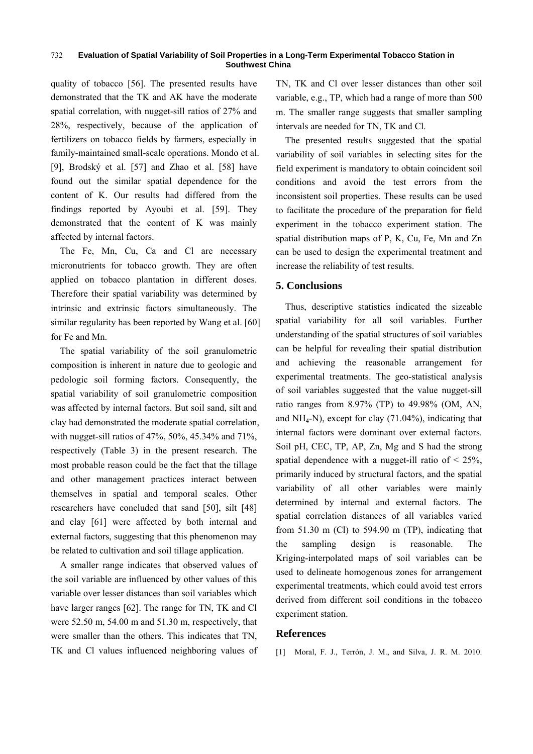quality of tobacco [56]. The presented results have demonstrated that the TK and AK have the moderate spatial correlation, with nugget-sill ratios of 27% and 28%, respectively, because of the application of fertilizers on tobacco fields by farmers, especially in family-maintained small-scale operations. Mondo et al. [9], Brodský et al. [57] and Zhao et al. [58] have found out the similar spatial dependence for the content of K. Our results had differed from the findings reported by Ayoubi et al. [59]. They demonstrated that the content of K was mainly affected by internal factors.

The Fe, Mn, Cu, Ca and Cl are necessary micronutrients for tobacco growth. They are often applied on tobacco plantation in different doses. Therefore their spatial variability was determined by intrinsic and extrinsic factors simultaneously. The similar regularity has been reported by Wang et al. [60] for Fe and Mn.

The spatial variability of the soil granulometric composition is inherent in nature due to geologic and pedologic soil forming factors. Consequently, the spatial variability of soil granulometric composition was affected by internal factors. But soil sand, silt and clay had demonstrated the moderate spatial correlation, with nugget-sill ratios of 47%, 50%, 45.34% and 71%, respectively (Table 3) in the present research. The most probable reason could be the fact that the tillage and other management practices interact between themselves in spatial and temporal scales. Other researchers have concluded that sand [50], silt [48] and clay [61] were affected by both internal and external factors, suggesting that this phenomenon may be related to cultivation and soil tillage application.

A smaller range indicates that observed values of the soil variable are influenced by other values of this variable over lesser distances than soil variables which have larger ranges [62]. The range for TN, TK and Cl were 52.50 m, 54.00 m and 51.30 m, respectively, that were smaller than the others. This indicates that TN, TK and Cl values influenced neighboring values of

TN, TK and Cl over lesser distances than other soil variable, e.g., TP, which had a range of more than 500 m. The smaller range suggests that smaller sampling intervals are needed for TN, TK and Cl.

The presented results suggested that the spatial variability of soil variables in selecting sites for the field experiment is mandatory to obtain coincident soil conditions and avoid the test errors from the inconsistent soil properties. These results can be used to facilitate the procedure of the preparation for field experiment in the tobacco experiment station. The spatial distribution maps of P, K, Cu, Fe, Mn and Zn can be used to design the experimental treatment and increase the reliability of test results.

### **5. Conclusions**

Thus, descriptive statistics indicated the sizeable spatial variability for all soil variables. Further understanding of the spatial structures of soil variables can be helpful for revealing their spatial distribution and achieving the reasonable arrangement for experimental treatments. The geo-statistical analysis of soil variables suggested that the value nugget-sill ratio ranges from 8.97% (TP) to 49.98% (OM, AN, and  $NH_4-N$ , except for clay  $(71.04\%)$ , indicating that internal factors were dominant over external factors. Soil pH, CEC, TP, AP, Zn, Mg and S had the strong spatial dependence with a nugget-ill ratio of  $\leq$  25%, primarily induced by structural factors, and the spatial variability of all other variables were mainly determined by internal and external factors. The spatial correlation distances of all variables varied from  $51.30$  m (Cl) to  $594.90$  m (TP), indicating that the sampling design is reasonable. The Kriging-interpolated maps of soil variables can be used to delineate homogenous zones for arrangement experimental treatments, which could avoid test errors derived from different soil conditions in the tobacco experiment station.

### **References**

[1] Moral, F. J., Terrón, J. M., and Silva, J. R. M. 2010.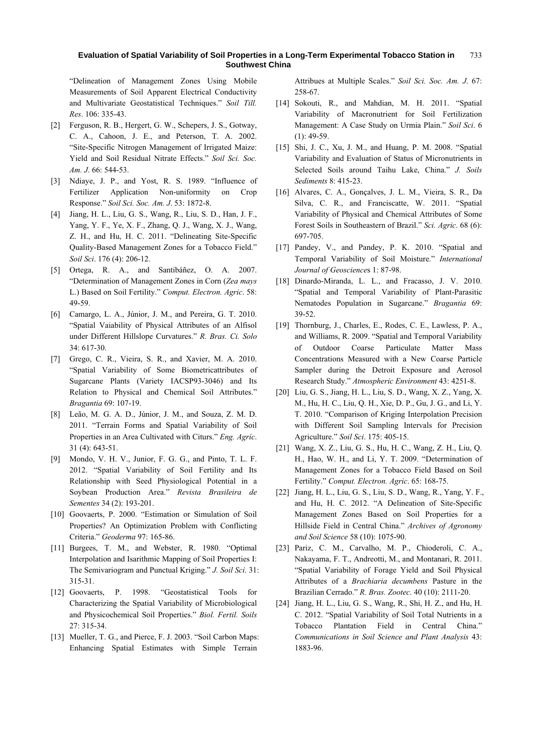"Delineation of Management Zones Using Mobile Measurements of Soil Apparent Electrical Conductivity and Multivariate Geostatistical Techniques." *Soil Till. Res*. 106: 335-43.

- [2] Ferguson, R. B., Hergert, G. W., Schepers, J. S., Gotway, C. A., Cahoon, J. E., and Peterson, T. A. 2002. "Site-Specific Nitrogen Management of Irrigated Maize: Yield and Soil Residual Nitrate Effects." *Soil Sci. Soc. Am. J*. 66: 544-53.
- [3] Ndiaye, J. P., and Yost, R. S. 1989. "Influence of Fertilizer Application Non-uniformity on Crop Response." *Soil Sci. Soc. Am. J*. 53: 1872-8.
- [4] Jiang, H. L., Liu, G. S., Wang, R., Liu, S. D., Han, J. F., Yang, Y. F., Ye, X. F., Zhang, Q. J., Wang, X. J., Wang, Z. H., and Hu, H. C. 2011. "Delineating Site-Specific Quality-Based Management Zones for a Tobacco Field." *Soil Sci*. 176 (4): 206-12.
- [5] Ortega, R. A., and Santibáñez, O. A. 2007. "Determination of Management Zones in Corn (*Zea mays* L.) Based on Soil Fertility." *Comput. Electron. Agric*. 58: 49-59.
- [6] Camargo, L. A., Júnior, J. M., and Pereira, G. T. 2010. "Spatial Vaiability of Physical Attributes of an Alfisol under Different Hillslope Curvatures." *R. Bras. Ci. Solo* 34: 617-30.
- [7] Grego, C. R., Vieira, S. R., and Xavier, M. A. 2010. "Spatial Variability of Some Biometricattributes of Sugarcane Plants (Variety IACSP93-3046) and Its Relation to Physical and Chemical Soil Attributes." *Bragantia* 69: 107-19.
- [8] Leão, M. G. A. D., Júnior, J. M., and Souza, Z. M. D. 2011. "Terrain Forms and Spatial Variability of Soil Properties in an Area Cultivated with Citurs." *Eng. Agríc*. 31 (4): 643-51.
- [9] Mondo, V. H. V., Junior, F. G. G., and Pinto, T. L. F. 2012. "Spatial Variability of Soil Fertility and Its Relationship with Seed Physiological Potential in a Soybean Production Area." *Revista Brasileira de Sementes* 34 (2): 193-201.
- [10] Goovaerts, P. 2000. "Estimation or Simulation of Soil Properties? An Optimization Problem with Conflicting Criteria." *Geoderma* 97: 165-86.
- [11] Burgees, T. M., and Webster, R. 1980. "Optimal Interpolation and Isarithmic Mapping of Soil Properties I: The Semivariogram and Punctual Kriging." *J. Soil Sci*. 31: 315-31.
- [12] Goovaerts, P. 1998. "Geostatistical Tools for Characterizing the Spatial Variability of Microbiological and Physicochemical Soil Properties." *Biol. Fertil. Soils* 27: 315-34.
- [13] Mueller, T. G., and Pierce, F. J. 2003. "Soil Carbon Maps: Enhancing Spatial Estimates with Simple Terrain

Attribues at Multiple Scales." *Soil Sci. Soc. Am. J*. 67: 258-67.

- [14] Sokouti, R., and Mahdian, M. H. 2011. "Spatial Variability of Macronutrient for Soil Fertilization Management: A Case Study on Urmia Plain." *Soil Sci*. 6  $(1)$ : 49-59.
- [15] Shi, J. C., Xu, J. M., and Huang, P. M. 2008. "Spatial Variability and Evaluation of Status of Micronutrients in Selected Soils around Taihu Lake, China." *J. Soils Sediments* 8: 415-23.
- [16] Alvares, C. A., Gonçalves, J. L. M., Vieira, S. R., Da Silva, C. R., and Franciscatte, W. 2011. "Spatial Variability of Physical and Chemical Attributes of Some Forest Soils in Southeastern of Brazil." *Sci. Agric*. 68 (6): 697-705.
- [17] Pandey, V., and Pandey, P. K. 2010. "Spatial and Temporal Variability of Soil Moisture." *International Journal of Geoscience*s 1: 87-98.
- [18] Dinardo-Miranda, L. L., and Fracasso, J. V. 2010. "Spatial and Temporal Variability of Plant-Parasitic Nematodes Population in Sugarcane." *Bragantia* 69: 39-52.
- [19] Thornburg, J., Charles, E., Rodes, C. E., Lawless, P. A., and Williams, R. 2009. "Spatial and Temporal Variability of Outdoor Coarse Particulate Matter Mass Concentrations Measured with a New Coarse Particle Sampler during the Detroit Exposure and Aerosol Research Study." *Atmospheric Environment* 43: 4251-8.
- [20] Liu, G. S., Jiang, H. L., Liu, S. D., Wang, X. Z., Yang, X. M., Hu, H. C., Liu, Q. H., Xie, D. P., Gu, J. G., and Li, Y. T. 2010. "Comparison of Kriging Interpolation Precision with Different Soil Sampling Intervals for Precision Agriculture." *Soil Sci*. 175: 405-15.
- [21] Wang, X. Z., Liu, G. S., Hu, H. C., Wang, Z. H., Liu, Q. H., Hao, W. H., and Li, Y. T. 2009. "Determination of Management Zones for a Tobacco Field Based on Soil Fertility." *Comput. Electron. Agric*. 65: 168-75.
- [22] Jiang, H. L., Liu, G. S., Liu, S. D., Wang, R., Yang, Y. F., and Hu, H. C. 2012. "A Delineation of Site-Specific Management Zones Based on Soil Properties for a Hillside Field in Central China." *Archives of Agronomy and Soil Science* 58 (10): 1075-90.
- [23] Pariz, C. M., Carvalho, M. P., Chioderoli, C. A., Nakayama, F. T., Andreotti, M., and Montanari, R. 2011. "Spatial Variability of Forage Yield and Soil Physical Attributes of a *Brachiaria decumbens* Pasture in the Brazilian Cerrado." *R. Bras. Zootec*. 40 (10): 2111-20.
- [24] Jiang, H. L., Liu, G. S., Wang, R., Shi, H. Z., and Hu, H. C. 2012. "Spatial Variability of Soil Total Nutrients in a Tobacco Plantation Field in Central China." *Communications in Soil Science and Plant Analysis* 43: 1883-96.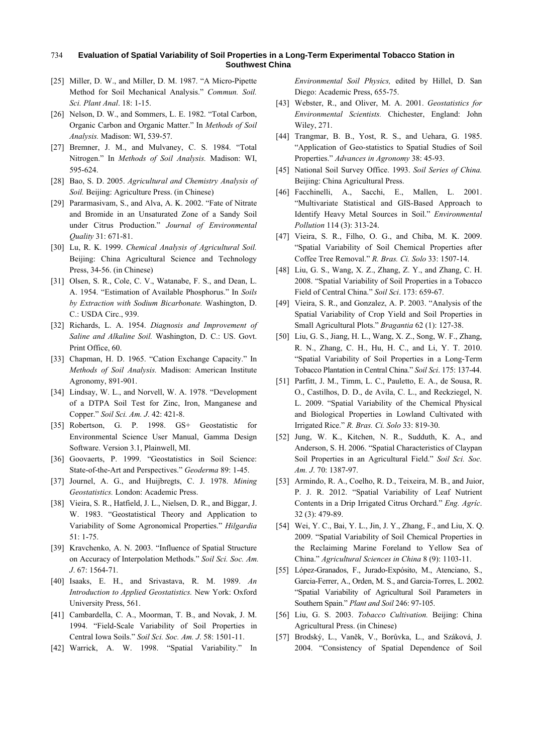- [25] Miller, D. W., and Miller, D. M. 1987. "A Micro-Pipette Method for Soil Mechanical Analysis." *Commun. Soil. Sci. Plant Anal*. 18: 1-15.
- [26] Nelson, D. W., and Sommers, L. E. 1982. "Total Carbon, Organic Carbon and Organic Matter." In *Methods of Soil Analysis.* Madison: WI, 539-57.
- [27] Bremner, J. M., and Mulvaney, C. S. 1984. "Total Nitrogen." In *Methods of Soil Analysis.* Madison: WI, 595-624.
- [28] Bao, S. D. 2005. *Agricultural and Chemistry Analysis of Soil.* Beijing: Agriculture Press. (in Chinese)
- [29] Pararmasivam, S., and Alva, A. K. 2002. "Fate of Nitrate and Bromide in an Unsaturated Zone of a Sandy Soil under Citrus Production." *Journal of Environmental Quality* 31: 671-81.
- [30] Lu, R. K. 1999. *Chemical Analysis of Agricultural Soil.*  Beijing: China Agricultural Science and Technology Press, 34-56. (in Chinese)
- [31] Olsen, S. R., Cole, C. V., Watanabe, F. S., and Dean, L. A. 1954. "Estimation of Available Phosphorus." In *Soils by Extraction with Sodium Bicarbonate.* Washington, D. C.: USDA Circ., 939.
- [32] Richards, L. A. 1954. *Diagnosis and Improvement of Saline and Alkaline Soil.* Washington, D. C.: US. Govt. Print Office, 60.
- [33] Chapman, H. D. 1965. "Cation Exchange Capacity." In *Methods of Soil Analysis.* Madison: American Institute Agronomy, 891-901.
- [34] Lindsay, W. L., and Norvell, W. A. 1978. "Development of a DTPA Soil Test for Zinc, Iron, Manganese and Copper." *Soil Sci. Am. J*. 42: 421-8.
- [35] Robertson, G. P. 1998. GS+ Geostatistic for Environmental Science User Manual, Gamma Design Software. Version 3.1, Plainwell, MI.
- [36] Goovaerts, P. 1999. "Geostatistics in Soil Science: State-of-the-Art and Perspectives." *Geoderma* 89: 1-45.
- [37] Journel, A. G., and Huijbregts, C. J. 1978. *Mining Geostatistics.* London: Academic Press.
- [38] Vieira, S. R., Hatfield, J. L., Nielsen, D. R., and Biggar, J. W. 1983. "Geostatistical Theory and Application to Variability of Some Agronomical Properties." *Hilgardia* 51: 1-75.
- [39] Kravchenko, A. N. 2003. "Influence of Spatial Structure on Accuracy of Interpolation Methods." *Soil Sci. Soc. Am. J*. 67: 1564-71.
- [40] Isaaks, E. H., and Srivastava, R. M. 1989. *An Introduction to Applied Geostatistics.* New York: Oxford University Press, 561.
- [41] Cambardella, C. A., Moorman, T. B., and Novak, J. M. 1994. "Field-Scale Variability of Soil Properties in Central Iowa Soils." *Soil Sci. Soc. Am. J*. 58: 1501-11.
- [42] Warrick, A. W. 1998. "Spatial Variability." In

*Environmental Soil Physics,* edited by Hillel, D. San Diego: Academic Press, 655-75.

- [43] Webster, R., and Oliver, M. A. 2001. *Geostatistics for Environmental Scientists.* Chichester, England: John Wiley, 271.
- [44] Trangmar, B. B., Yost, R. S., and Uehara, G. 1985. "Application of Geo-statistics to Spatial Studies of Soil Properties." *Advances in Agronomy* 38: 45-93.
- [45] National Soil Survey Office. 1993. *Soil Series of China.* Beijing: China Agricultural Press.
- [46] Facchinelli, A., Sacchi, E., Mallen, L. 2001. "Multivariate Statistical and GIS-Based Approach to Identify Heavy Metal Sources in Soil." *Environmental Pollution* 114 (3): 313-24.
- [47] Vieira, S. R., Filho, O. G., and Chiba, M. K. 2009. "Spatial Variability of Soil Chemical Properties after Coffee Tree Removal." *R. Bras. Ci. Solo* 33: 1507-14.
- [48] Liu, G. S., Wang, X. Z., Zhang, Z. Y., and Zhang, C. H. 2008. "Spatial Variability of Soil Properties in a Tobacco Field of Central China." *Soil Sci*. 173: 659-67.
- [49] Vieira, S. R., and Gonzalez, A. P. 2003. "Analysis of the Spatial Variability of Crop Yield and Soil Properties in Small Agricultural Plots." *Bragantia* 62 (1): 127-38.
- [50] Liu, G. S., Jiang, H. L., Wang, X. Z., Song, W. F., Zhang, R. N., Zhang, C. H., Hu, H. C., and Li, Y. T. 2010. "Spatial Variability of Soil Properties in a Long-Term Tobacco Plantation in Central China." *Soil Sci*. 175: 137-44.
- [51] Parfitt, J. M., Timm, L. C., Pauletto, E. A., de Sousa, R. O., Castilhos, D. D., de Avila, C. L., and Reckziegel, N. L. 2009. "Spatial Variability of the Chemical Physical and Biological Properties in Lowland Cultivated with Irrigated Rice." *R. Bras. Ci. Solo* 33: 819-30.
- [52] Jung, W. K., Kitchen, N. R., Sudduth, K. A., and Anderson, S. H. 2006. "Spatial Characteristics of Claypan Soil Properties in an Agricultural Field." *Soil Sci. Soc. Am. J*. 70: 1387-97.
- [53] Armindo, R. A., Coelho, R. D., Teixeira, M. B., and Juior, P. J. R. 2012. "Spatial Variability of Leaf Nutrient Contents in a Drip Irrigated Citrus Orchard." *Eng. Agríc*. 32 (3): 479-89.
- [54] Wei, Y. C., Bai, Y. L., Jin, J. Y., Zhang, F., and Liu, X. Q. 2009. "Spatial Variability of Soil Chemical Properties in the Reclaiming Marine Foreland to Yellow Sea of China." *Agricultural Sciences in China* 8 (9): 1103-11.
- [55] López-Granados, F., Jurado-Expósito, M., Atenciano, S., Garcia-Ferrer, A., Orden, M. S., and Garcia-Torres, L. 2002. "Spatial Variability of Agricultural Soil Parameters in Southern Spain." *Plant and Soil* 246: 97-105.
- [56] Liu, G. S. 2003. *Tobacco Cultivation.* Beijing: China Agricultural Press. (in Chinese)
- [57] Brodský, L., Vaněk, V., Borůvka, L., and Száková, J. 2004. "Consistency of Spatial Dependence of Soil